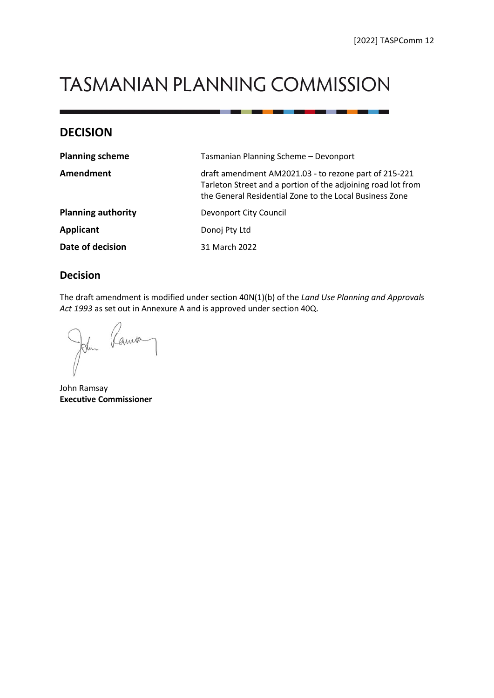**The Common Section** 

# **TASMANIAN PLANNING COMMISSION**

## **DECISION**

| <b>Planning scheme</b>    | Tasmanian Planning Scheme - Devonport                                                                                                                                            |  |
|---------------------------|----------------------------------------------------------------------------------------------------------------------------------------------------------------------------------|--|
| Amendment                 | draft amendment AM2021.03 - to rezone part of 215-221<br>Tarleton Street and a portion of the adjoining road lot from<br>the General Residential Zone to the Local Business Zone |  |
| <b>Planning authority</b> | Devonport City Council                                                                                                                                                           |  |
| <b>Applicant</b>          | Donoj Pty Ltd                                                                                                                                                                    |  |
| Date of decision          | 31 March 2022                                                                                                                                                                    |  |

## **Decision**

The draft amendment is modified under section 40N(1)(b) of the *Land Use Planning and Approvals Act 1993* as set out in Annexure A and is approved under section 40Q.

John Ramo

John Ramsay **Executive Commissioner**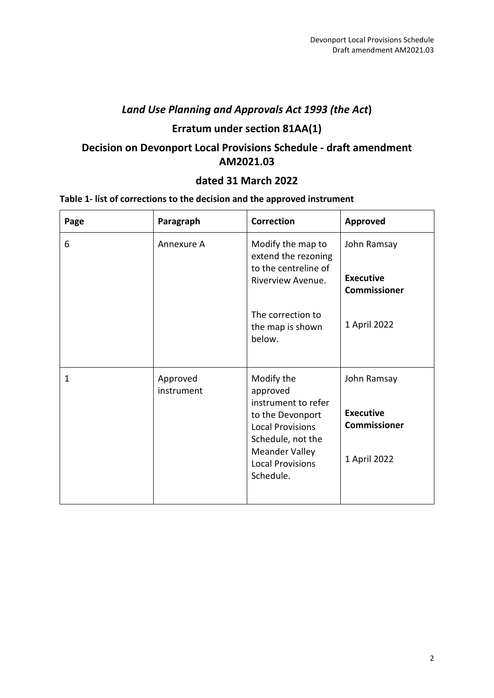## *Land Use Planning and Approvals Act 1993 (the Act***)**

# **Erratum under section 81AA(1)**

# **Decision on Devonport Local Provisions Schedule - draft amendment AM2021.03**

## **dated 31 March 2022**

## **Table 1- list of corrections to the decision and the approved instrument**

| Page | Paragraph              | <b>Correction</b>                                                                                                                                                                  | <b>Approved</b>                                                        |
|------|------------------------|------------------------------------------------------------------------------------------------------------------------------------------------------------------------------------|------------------------------------------------------------------------|
| 6    | Annexure A             | Modify the map to<br>extend the rezoning<br>to the centreline of<br>Riverview Avenue.                                                                                              | John Ramsay<br><b>Executive</b><br><b>Commissioner</b>                 |
|      |                        | The correction to<br>the map is shown<br>below.                                                                                                                                    | 1 April 2022                                                           |
| 1    | Approved<br>instrument | Modify the<br>approved<br>instrument to refer<br>to the Devonport<br><b>Local Provisions</b><br>Schedule, not the<br><b>Meander Valley</b><br><b>Local Provisions</b><br>Schedule. | John Ramsay<br><b>Executive</b><br><b>Commissioner</b><br>1 April 2022 |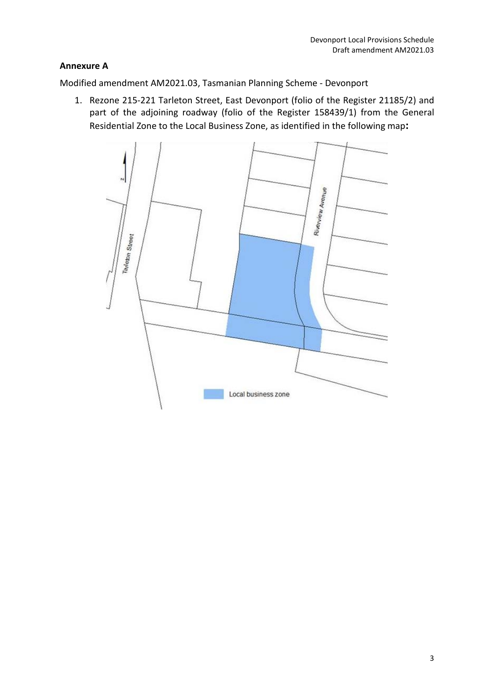## **Annexure A**

Modified amendment AM2021.03, Tasmanian Planning Scheme - Devonport

1. Rezone 215-221 Tarleton Street, East Devonport (folio of the Register 21185/2) and part of the adjoining roadway (folio of the Register 158439/1) from the General Residential Zone to the Local Business Zone, as identified in the following map**:**

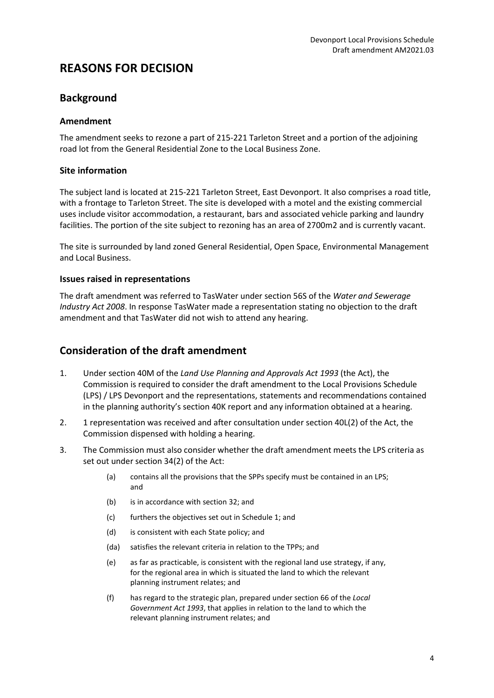# **REASONS FOR DECISION**

## **Background**

## **Amendment**

The amendment seeks to rezone a part of 215-221 Tarleton Street and a portion of the adjoining road lot from the General Residential Zone to the Local Business Zone.

### **Site information**

The subject land is located at 215-221 Tarleton Street, East Devonport. It also comprises a road title, with a frontage to Tarleton Street. The site is developed with a motel and the existing commercial uses include visitor accommodation, a restaurant, bars and associated vehicle parking and laundry facilities. The portion of the site subject to rezoning has an area of 2700m2 and is currently vacant.

The site is surrounded by land zoned General Residential, Open Space, Environmental Management and Local Business.

### **Issues raised in representations**

The draft amendment was referred to TasWater under section 56S of the *Water and Sewerage Industry Act 2008*. In response TasWater made a representation stating no objection to the draft amendment and that TasWater did not wish to attend any hearing.

## **Consideration of the draft amendment**

- 1. Under section 40M of the *Land Use Planning and Approvals Act 1993* (the Act), the Commission is required to consider the draft amendment to the Local Provisions Schedule (LPS) / LPS Devonport and the representations, statements and recommendations contained in the planning authority's section 40K report and any information obtained at a hearing.
- 2. 1 representation was received and after consultation under section 40L(2) of the Act, the Commission dispensed with holding a hearing.
- 3. The Commission must also consider whether the draft amendment meets the LPS criteria as set out under section 34(2) of the Act:
	- (a) contains all the provisions that the SPPs specify must be contained in an LPS; and
	- (b) is in accordance with section 32; and
	- (c) furthers the objectives set out in Schedule 1; and
	- (d) is consistent with each State policy; and
	- (da) satisfies the relevant criteria in relation to the TPPs; and
	- (e) as far as practicable, is consistent with the regional land use strategy, if any, for the regional area in which is situated the land to which the relevant planning instrument relates; and
	- (f) has regard to the strategic plan, prepared under section 66 of the *Local Government Act 1993*, that applies in relation to the land to which the relevant planning instrument relates; and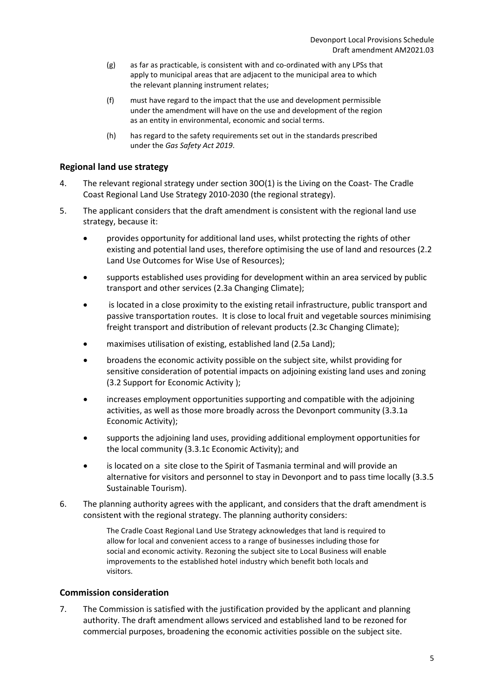- (g) as far as practicable, is consistent with and co-ordinated with any LPSs that apply to municipal areas that are adjacent to the municipal area to which the relevant planning instrument relates;
- (f) must have regard to the impact that the use and development permissible under the amendment will have on the use and development of the region as an entity in environmental, economic and social terms.
- (h) has regard to the safety requirements set out in the standards prescribed under the *Gas Safety Act 2019*.

### **Regional land use strategy**

- 4. The relevant regional strategy under section 30O(1) is the Living on the Coast- The Cradle Coast Regional Land Use Strategy 2010-2030 (the regional strategy).
- 5. The applicant considers that the draft amendment is consistent with the regional land use strategy, because it:
	- provides opportunity for additional land uses, whilst protecting the rights of other existing and potential land uses, therefore optimising the use of land and resources (2.2 Land Use Outcomes for Wise Use of Resources);
	- supports established uses providing for development within an area serviced by public transport and other services (2.3a Changing Climate);
	- is located in a close proximity to the existing retail infrastructure, public transport and passive transportation routes. It is close to local fruit and vegetable sources minimising freight transport and distribution of relevant products (2.3c Changing Climate);
	- maximises utilisation of existing, established land (2.5a Land);
	- broadens the economic activity possible on the subject site, whilst providing for sensitive consideration of potential impacts on adjoining existing land uses and zoning (3.2 Support for Economic Activity );
	- increases employment opportunities supporting and compatible with the adjoining activities, as well as those more broadly across the Devonport community (3.3.1a Economic Activity);
	- supports the adjoining land uses, providing additional employment opportunities for the local community (3.3.1c Economic Activity); and
	- is located on a site close to the Spirit of Tasmania terminal and will provide an alternative for visitors and personnel to stay in Devonport and to pass time locally (3.3.5 Sustainable Tourism).
- 6. The planning authority agrees with the applicant, and considers that the draft amendment is consistent with the regional strategy. The planning authority considers:

The Cradle Coast Regional Land Use Strategy acknowledges that land is required to allow for local and convenient access to a range of businesses including those for social and economic activity. Rezoning the subject site to Local Business will enable improvements to the established hotel industry which benefit both locals and visitors.

#### **Commission consideration**

7. The Commission is satisfied with the justification provided by the applicant and planning authority. The draft amendment allows serviced and established land to be rezoned for commercial purposes, broadening the economic activities possible on the subject site.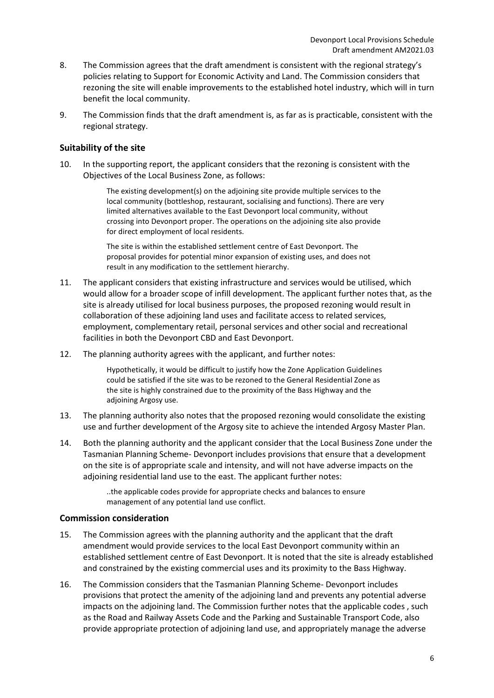- 8. The Commission agrees that the draft amendment is consistent with the regional strategy's policies relating to Support for Economic Activity and Land. The Commission considers that rezoning the site will enable improvements to the established hotel industry, which will in turn benefit the local community.
- 9. The Commission finds that the draft amendment is, as far as is practicable, consistent with the regional strategy.

#### **Suitability of the site**

10. In the supporting report, the applicant considers that the rezoning is consistent with the Objectives of the Local Business Zone, as follows:

> The existing development(s) on the adjoining site provide multiple services to the local community (bottleshop, restaurant, socialising and functions). There are very limited alternatives available to the East Devonport local community, without crossing into Devonport proper. The operations on the adjoining site also provide for direct employment of local residents.

The site is within the established settlement centre of East Devonport. The proposal provides for potential minor expansion of existing uses, and does not result in any modification to the settlement hierarchy.

- 11. The applicant considers that existing infrastructure and services would be utilised, which would allow for a broader scope of infill development. The applicant further notes that, as the site is already utilised for local business purposes, the proposed rezoning would result in collaboration of these adjoining land uses and facilitate access to related services, employment, complementary retail, personal services and other social and recreational facilities in both the Devonport CBD and East Devonport.
- 12. The planning authority agrees with the applicant, and further notes:

Hypothetically, it would be difficult to justify how the Zone Application Guidelines could be satisfied if the site was to be rezoned to the General Residential Zone as the site is highly constrained due to the proximity of the Bass Highway and the adjoining Argosy use.

- 13. The planning authority also notes that the proposed rezoning would consolidate the existing use and further development of the Argosy site to achieve the intended Argosy Master Plan.
- 14. Both the planning authority and the applicant consider that the Local Business Zone under the Tasmanian Planning Scheme- Devonport includes provisions that ensure that a development on the site is of appropriate scale and intensity, and will not have adverse impacts on the adjoining residential land use to the east. The applicant further notes:

..the applicable codes provide for appropriate checks and balances to ensure management of any potential land use conflict.

#### **Commission consideration**

- 15. The Commission agrees with the planning authority and the applicant that the draft amendment would provide services to the local East Devonport community within an established settlement centre of East Devonport. It is noted that the site is already established and constrained by the existing commercial uses and its proximity to the Bass Highway.
- 16. The Commission considers that the Tasmanian Planning Scheme- Devonport includes provisions that protect the amenity of the adjoining land and prevents any potential adverse impacts on the adjoining land. The Commission further notes that the applicable codes , such as the Road and Railway Assets Code and the Parking and Sustainable Transport Code, also provide appropriate protection of adjoining land use, and appropriately manage the adverse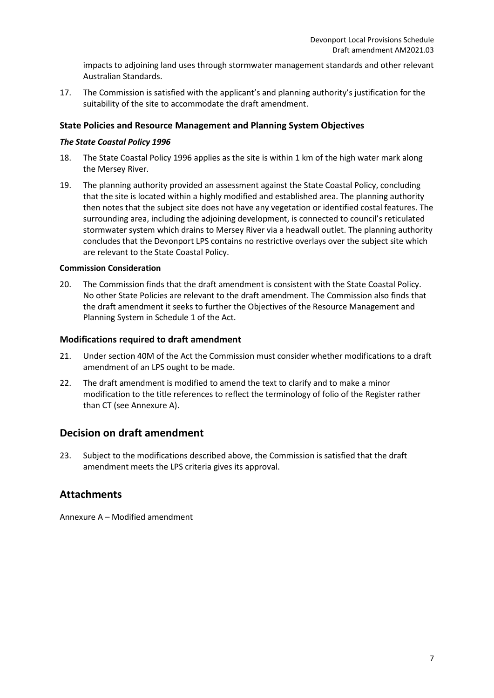impacts to adjoining land uses through stormwater management standards and other relevant Australian Standards.

17. The Commission is satisfied with the applicant's and planning authority's justification for the suitability of the site to accommodate the draft amendment.

#### **State Policies and Resource Management and Planning System Objectives**

#### *The State Coastal Policy 1996*

- 18. The State Coastal Policy 1996 applies as the site is within 1 km of the high water mark along the Mersey River.
- 19. The planning authority provided an assessment against the State Coastal Policy, concluding that the site is located within a highly modified and established area. The planning authority then notes that the subject site does not have any vegetation or identified costal features. The surrounding area, including the adjoining development, is connected to council's reticulated stormwater system which drains to Mersey River via a headwall outlet. The planning authority concludes that the Devonport LPS contains no restrictive overlays over the subject site which are relevant to the State Coastal Policy.

#### **Commission Consideration**

20. The Commission finds that the draft amendment is consistent with the State Coastal Policy. No other State Policies are relevant to the draft amendment. The Commission also finds that the draft amendment it seeks to further the Objectives of the Resource Management and Planning System in Schedule 1 of the Act.

#### **Modifications required to draft amendment**

- 21. Under section 40M of the Act the Commission must consider whether modifications to a draft amendment of an LPS ought to be made.
- 22. The draft amendment is modified to amend the text to clarify and to make a minor modification to the title references to reflect the terminology of folio of the Register rather than CT (see Annexure A).

## **Decision on draft amendment**

23. Subject to the modifications described above, the Commission is satisfied that the draft amendment meets the LPS criteria gives its approval.

## **Attachments**

Annexure A – Modified amendment